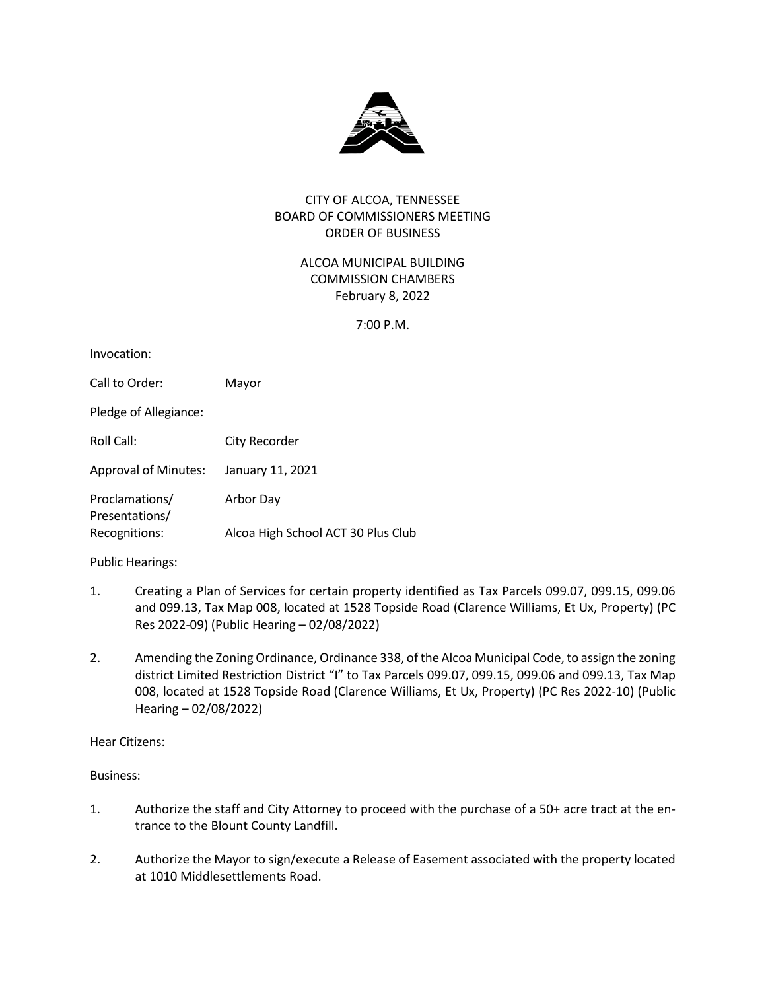

## CITY OF ALCOA, TENNESSEE BOARD OF COMMISSIONERS MEETING ORDER OF BUSINESS

# ALCOA MUNICIPAL BUILDING COMMISSION CHAMBERS February 8, 2022

7:00 P.M.

| Invocation:                      |                                    |
|----------------------------------|------------------------------------|
| Call to Order:                   | Mayor                              |
| Pledge of Allegiance:            |                                    |
| Roll Call:                       | City Recorder                      |
| <b>Approval of Minutes:</b>      | January 11, 2021                   |
| Proclamations/<br>Presentations/ | Arbor Day                          |
| Recognitions:                    | Alcoa High School ACT 30 Plus Club |

Public Hearings:

- 1. Creating a Plan of Services for certain property identified as Tax Parcels 099.07, 099.15, 099.06 and 099.13, Tax Map 008, located at 1528 Topside Road (Clarence Williams, Et Ux, Property) (PC Res 2022-09) (Public Hearing – 02/08/2022)
- 2. Amending the Zoning Ordinance, Ordinance 338, of the Alcoa Municipal Code, to assign the zoning district Limited Restriction District "I" to Tax Parcels 099.07, 099.15, 099.06 and 099.13, Tax Map 008, located at 1528 Topside Road (Clarence Williams, Et Ux, Property) (PC Res 2022-10) (Public Hearing – 02/08/2022)

Hear Citizens:

Business:

- 1. Authorize the staff and City Attorney to proceed with the purchase of a 50+ acre tract at the entrance to the Blount County Landfill.
- 2. Authorize the Mayor to sign/execute a Release of Easement associated with the property located at 1010 Middlesettlements Road.